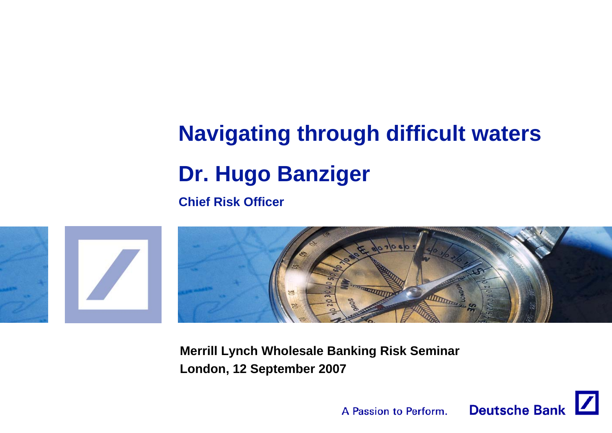# **Navigating through difficult waters Dr. Hugo Banziger**

**Chief Risk Officer**



**Merrill Lynch Wholesale Banking Risk Seminar London, 12 September 2007**

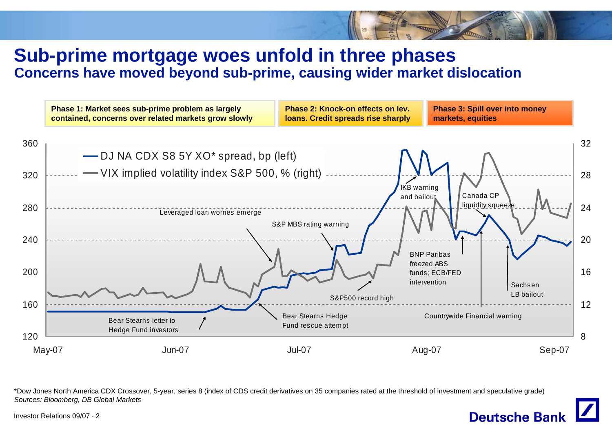### **Sub-prime mortgage woes unfold in three phases Concerns have moved beyond sub-prime, causing wider market dislocation**



\*Dow Jones North America CDX Crossover, 5-year, series 8 (index of CDS credit derivatives on 35 companies rated at the threshold of investment and speculative grade) *Sources: Bloomberg, DB Global Markets*



Investor Relations 09/07 · 2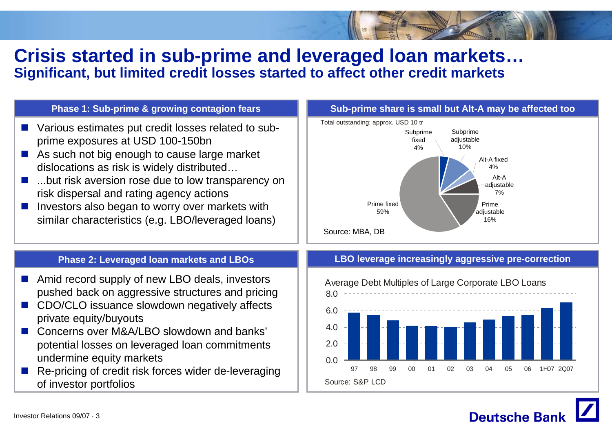### **Crisis started in sub-prime and leveraged loan markets… Significant, but limited credit losses started to affect other credit markets**

#### **Phase 1: Sub-prime & growing contagion fears**

- $\mathbb{R}^n$  Various estimates put credit losses related to subprime exposures at USD 100-150bn
- As such not big enough to cause large market dislocations as risk is widely distributed…
- **The Co**  ...but risk aversion rose due to low transparency on risk dispersal and rating agency actions
- $\mathcal{C}^{\mathcal{A}}$  Investors also began to worry over markets with similar characteristics (e.g. LBO/leveraged loans)



#### **Phase 2: Leveraged loan markets and LBOs**

- F. Amid record supply of new LBO deals, investors pushed back on aggressive structures and pricing
- CDO/CLO issuance slowdown negatively affects private equity/buyouts
- $\sim 10$  Concerns over M&A/LBO slowdown and banks' potential losses on leveraged loan commitments undermine equity markets
- Т. Re-pricing of credit risk forces wider de-leveraging of investor portfolios

#### **LBO leverage increasingly aggressive pre-correction**





Investor Relations 09/07 · 3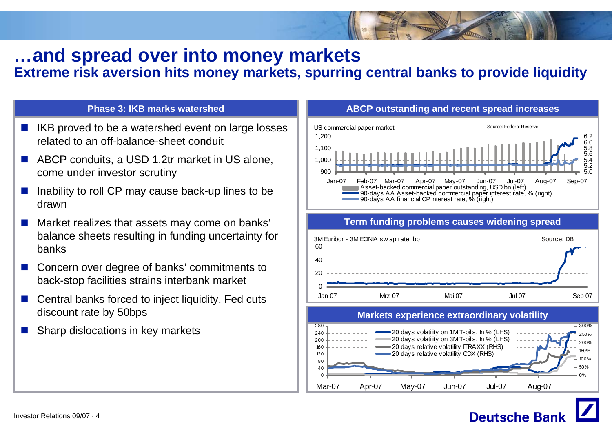# **…and spread over into money markets**

### **Extreme risk aversion hits money markets, spurring central banks to provide liquidity**

#### **Phase 3: IKB marks watershed**

- P. IKB proved to be a watershed event on large losses related to an off-balance-sheet conduit
- F. ABCP conduits, a USD 1.2tr market in US alone, come under investor scrutiny
- P. Inability to roll CP may cause back-up lines to be drawn
- P. Market realizes that assets may come on banks' balance sheets resulting in funding uncertainty for banks
- F. Concern over degree of banks' commitments to back-stop facilities strains interbank market
- P. Central banks forced to inject liquidity, Fed cuts discount rate by 50bps
- p. Sharp dislocations in key markets



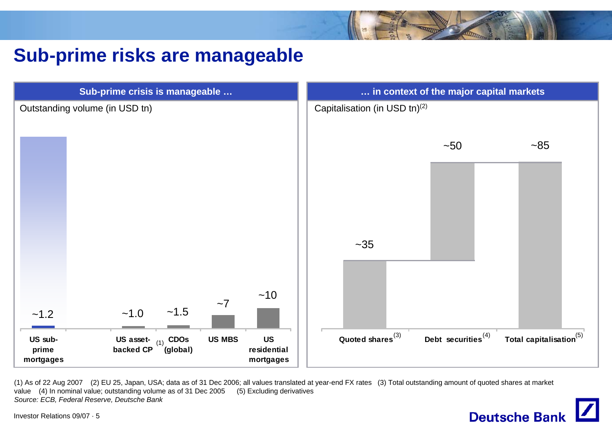# **Sub-prime risks are manageable**



(1) As of 22 Aug 2007 (2) EU 25, Japan, USA; data as of 31 Dec 2006; all values translated at year-end FX rates (3) Total outstanding amount of quoted shares at market value (4) In nominal value; outstanding volume as of 31 Dec 2005 (5) Excluding derivatives *Source: ECB, Federal Reserve, Deutsche Bank*



Investor Relations 09/07 · 5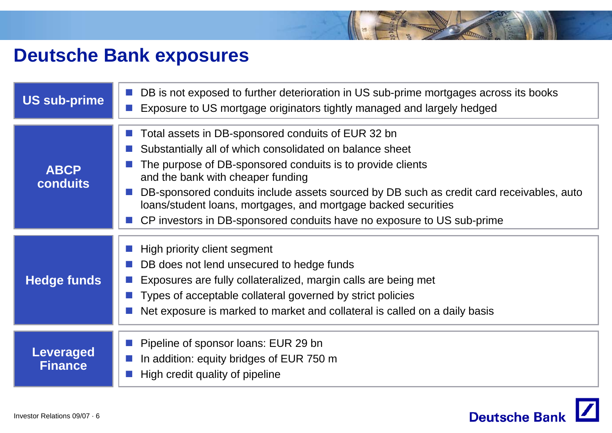# **Deutsche Bank exposures**

| <b>US sub-prime</b>                | ■ DB is not exposed to further deterioration in US sub-prime mortgages across its books<br>Exposure to US mortgage originators tightly managed and largely hedged                                                                                                                                                                                                                                                                                           |
|------------------------------------|-------------------------------------------------------------------------------------------------------------------------------------------------------------------------------------------------------------------------------------------------------------------------------------------------------------------------------------------------------------------------------------------------------------------------------------------------------------|
| <b>ABCP</b><br><b>conduits</b>     | ■ Total assets in DB-sponsored conduits of EUR 32 bn<br>Substantially all of which consolidated on balance sheet<br>The purpose of DB-sponsored conduits is to provide clients<br>and the bank with cheaper funding<br>DB-sponsored conduits include assets sourced by DB such as credit card receivables, auto<br>loans/student loans, mortgages, and mortgage backed securities<br>CP investors in DB-sponsored conduits have no exposure to US sub-prime |
| <b>Hedge funds</b>                 | High priority client segment<br>DB does not lend unsecured to hedge funds<br>Exposures are fully collateralized, margin calls are being met<br>Types of acceptable collateral governed by strict policies<br>Net exposure is marked to market and collateral is called on a daily basis                                                                                                                                                                     |
| <b>Leveraged</b><br><b>Finance</b> | Pipeline of sponsor loans: EUR 29 bn<br>In addition: equity bridges of EUR 750 m<br>High credit quality of pipeline                                                                                                                                                                                                                                                                                                                                         |

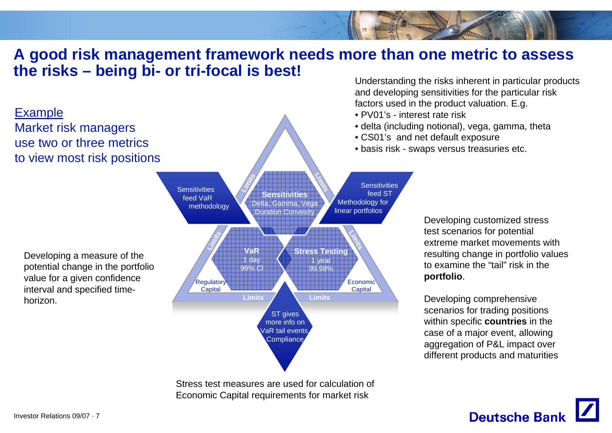### **A good risk management framework needs more than one metric to assess the risks – being bi- or tri-focal is best!**



Stress test measures are used for calculation of Economic Capital requirements for market risk

Understanding the risks inherent in particular products and developing sensitivities for the particular risk factors used in the product valuation. E.g.

- PV01's interest rate risk
- delta (including notional), vega, gamma, theta
- CS01's and net default exposure
- basis risk swaps versus treasuries etc.

Developing customized stress test scenarios for potential extreme market movements with resulting change in portfolio values to examine the "tail" risk in the **portfolio**.

Developing comprehensive scenarios for trading positions within specific **countries** in the case of a major event, allowing aggregation of P&L impact over different products and maturities

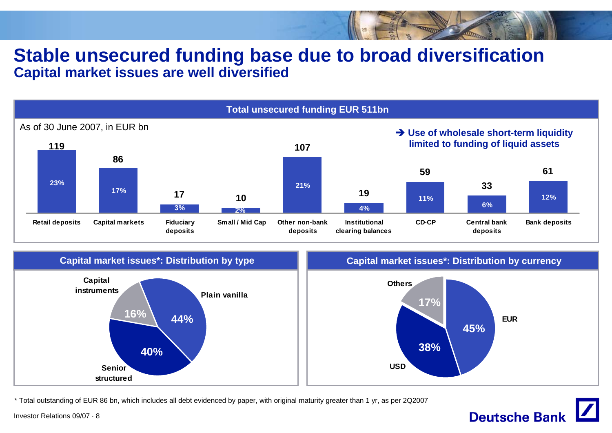### **Stable unsecured funding base due to broad diversification Capital market issues are well diversified**





\* Total outstanding of EUR 86 bn, which includes all debt evidenced by paper, with original maturity greater than 1 yr, as per 2Q2007

Investor Relations 09/07 · 8

# **Deutsche Bank**

**EUR**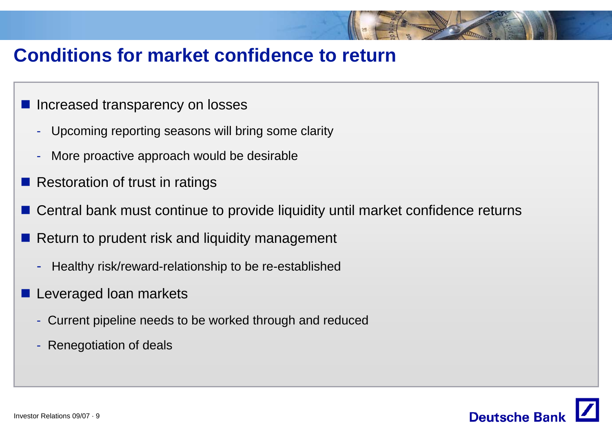# **Conditions for market confidence to return**

- **Increased transparency on losses** 
	- -Upcoming reporting seasons will bring some clarity
	- -More proactive approach would be desirable
- Restoration of trust in ratings
- Central bank must continue to provide liquidity until market confidence returns
- Return to prudent risk and liquidity management
	- -Healthy risk/reward-relationship to be re-established
- **Leveraged loan markets** 
	- Current pipeline needs to be worked through and reduced
	- -Renegotiation of deals